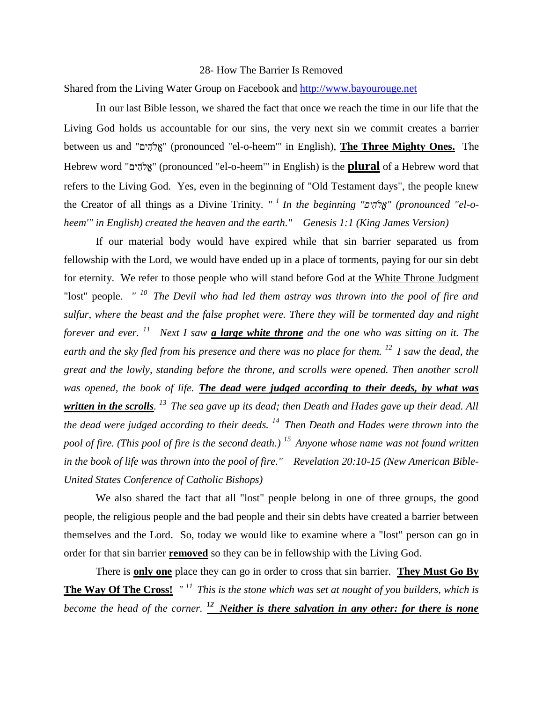## 28- How The Barrier Is Removed

Shared from the Living Water Group on Facebook and [http://www.bayourouge.net](http://www.bayourouge.net/)

In our last Bible lesson, we shared the fact that once we reach the time in our life that the Living God holds us accountable for our sins, the very next sin we commit creates a barrier between us and " " (pronounced "el-o-heem'" in English), **The Three Mighty Ones.** The Hebrew word " " (pronounced "el-o-heem'" in English) is the **plural** of a Hebrew word that refers to the Living God. Yes, even in the beginning of "Old Testament days", the people knew the Creator of all things as a Divine Trinity. *" <sup>1</sup>In the beginning " " (pronounced "el-oheem'" in English) created the heaven and the earth." Genesis 1:1 (King James Version)* 

If our material body would have expired while that sin barrier separated us from fellowship with the Lord, we would have ended up in a place of torments, paying for our sin debt for eternity. We refer to those people who will stand before God at the White Throne Judgment "lost" people. *" <sup>10</sup>The Devil who had led them astray was thrown into the pool of fire and sulfur, where the beast and the false prophet were. There they will be tormented day and night forever and ever. <sup>11</sup>Next I saw a large white throne and the one who was sitting on it. The earth and the sky fled from his presence and there was no place for them. <sup>12</sup>I saw the dead, the great and the lowly, standing before the throne, and scrolls were opened. Then another scroll was opened, the book of life. The dead were judged according to their deeds, by what was written in the scrolls. <sup>13</sup>The sea gave up its dead; then Death and Hades gave up their dead. All the dead were judged according to their deeds. <sup>14</sup>Then Death and Hades were thrown into the pool of fire. (This pool of fire is the second death.) <sup>15</sup>Anyone whose name was not found written in the book of life was thrown into the pool of fire." Revelation 20:10-15 (New American Bible-United States Conference of Catholic Bishops)* 

We also shared the fact that all "lost" people belong in one of three groups, the good people, the religious people and the bad people and their sin debts have created a barrier between themselves and the Lord. So, today we would like to examine where a "lost" person can go in order for that sin barrier **removed** so they can be in fellowship with the Living God.

There is **only one** place they can go in order to cross that sin barrier. **They Must Go By The Way Of The Cross!** *" <sup>11</sup>This is the stone which was set at nought of you builders, which is become the head of the corner. <sup>12</sup>Neither is there salvation in any other: for there is none*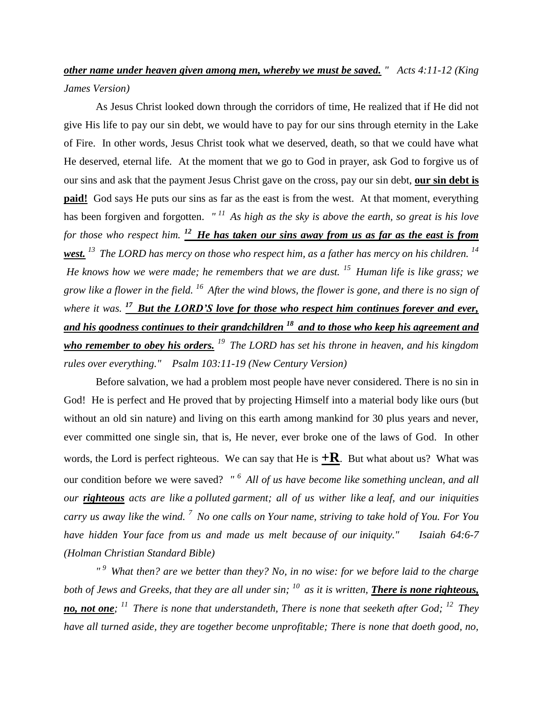## *other name under heaven given among men, whereby we must be saved. " Acts 4:11-12 (King James Version)*

As Jesus Christ looked down through the corridors of time, He realized that if He did not give His life to pay our sin debt, we would have to pay for our sins through eternity in the Lake of Fire. In other words, Jesus Christ took what we deserved, death, so that we could have what He deserved, eternal life. At the moment that we go to God in prayer, ask God to forgive us of our sins and ask that the payment Jesus Christ gave on the cross, pay our sin debt, **our sin debt is paid!** God says He puts our sins as far as the east is from the west. At that moment, everything has been forgiven and forgotten. *" <sup>11</sup>As high as the sky is above the earth, so great is his love for those who respect him. <sup>12</sup>He has taken our sins away from us as far as the east is from west. <sup>13</sup>The LORD has mercy on those who respect him, as a father has mercy on his children. <sup>14</sup> He knows how we were made; he remembers that we are dust. <sup>15</sup>Human life is like grass; we grow like a flower in the field. <sup>16</sup>After the wind blows, the flower is gone, and there is no sign of where it was. <sup>17</sup>But the LORD'S love for those who respect him continues forever and ever, and his goodness continues to their grandchildren <sup>18</sup>and to those who keep his agreement and who remember to obey his orders. <sup>19</sup>The LORD has set his throne in heaven, and his kingdom rules over everything." Psalm 103:11-19 (New Century Version)*

Before salvation, we had a problem most people have never considered. There is no sin in God! He is perfect and He proved that by projecting Himself into a material body like ours (but without an old sin nature) and living on this earth among mankind for 30 plus years and never, ever committed one single sin, that is, He never, ever broke one of the laws of God. In other words, the Lord is perfect righteous. We can say that He is  $+R$ . But what about us? What was our condition before we were saved? *" <sup>6</sup>All of us have become like something unclean, and all our righteous acts are like a polluted garment; all of us wither like a leaf, and our iniquities carry us away like the wind. <sup>7</sup>No one calls on Your name, striving to take hold of You. For You have hidden Your face from us and made us melt because of our iniquity." Isaiah 64:6-7 (Holman Christian Standard Bible)*

*" <sup>9</sup>What then? are we better than they? No, in no wise: for we before laid to the charge both of Jews and Greeks, that they are all under sin; <sup>10</sup>as it is written, There is none righteous, no, not one; <sup>11</sup>There is none that understandeth, There is none that seeketh after God; <sup>12</sup>They have all turned aside, they are together become unprofitable; There is none that doeth good, no,*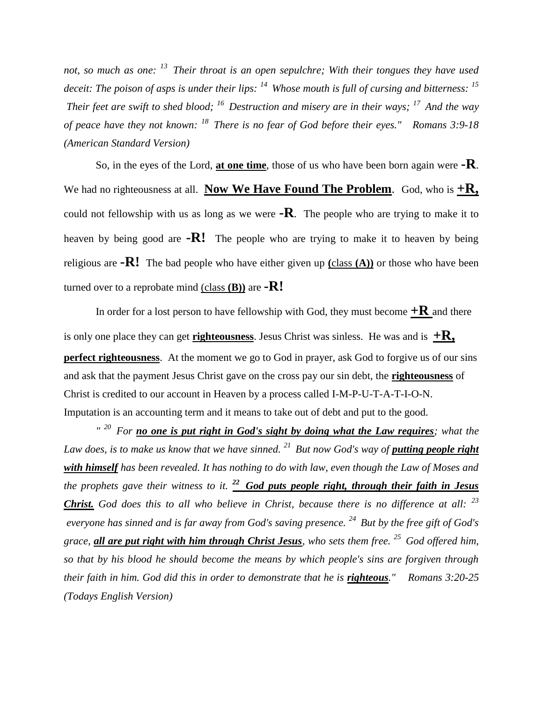*not, so much as one: <sup>13</sup>Their throat is an open sepulchre; With their tongues they have used deceit: The poison of asps is under their lips: <sup>14</sup>Whose mouth is full of cursing and bitterness: <sup>15</sup> Their feet are swift to shed blood; <sup>16</sup>Destruction and misery are in their ways; <sup>17</sup>And the way of peace have they not known: <sup>18</sup>There is no fear of God before their eyes." Romans 3:9-18 (American Standard Version)*

So, in the eyes of the Lord, **at one time**, those of us who have been born again were **-R**. We had no righteousness at all. **Now We Have Found The Problem**. God, who is  $+R$ , could not fellowship with us as long as we were **-R**. The people who are trying to make it to heaven by being good are **-R!** The people who are trying to make it to heaven by being religious are **-R!** The bad people who have either given up **(**class **(A))** or those who have been turned over to a reprobate mind (class **(B))** are **-R!**

In order for a lost person to have fellowship with God, they must become  $+{\bf R}$  and there is only one place they can get **righteousness**. Jesus Christ was sinless. He was and is  $+R$ , **perfect righteousness**. At the moment we go to God in prayer, ask God to forgive us of our sins and ask that the payment Jesus Christ gave on the cross pay our sin debt, the **righteousness** of Christ is credited to our account in Heaven by a process called I-M-P-U-T-A-T-I-O-N. Imputation is an accounting term and it means to take out of debt and put to the good.

<sup>" 20</sup> For **no one is put right in God's sight by doing what the Law requires**; what the *Law does, is to make us know that we have sinned.* <sup>21</sup> *But now God's way of putting people right with himself has been revealed. It has nothing to do with law, even though the Law of Moses and the prophets gave their witness to it. <sup>22</sup>God puts people right, through their faith in Jesus Christ. God does this to all who believe in Christ, because there is no difference at all: <sup>23</sup> everyone has sinned and is far away from God's saving presence. <sup>24</sup>But by the free gift of God's grace, all are put right with him through Christ Jesus, who sets them free. <sup>25</sup>God offered him, so that by his blood he should become the means by which people's sins are forgiven through their faith in him. God did this in order to demonstrate that he is righteous." Romans 3:20-25 (Todays English Version)*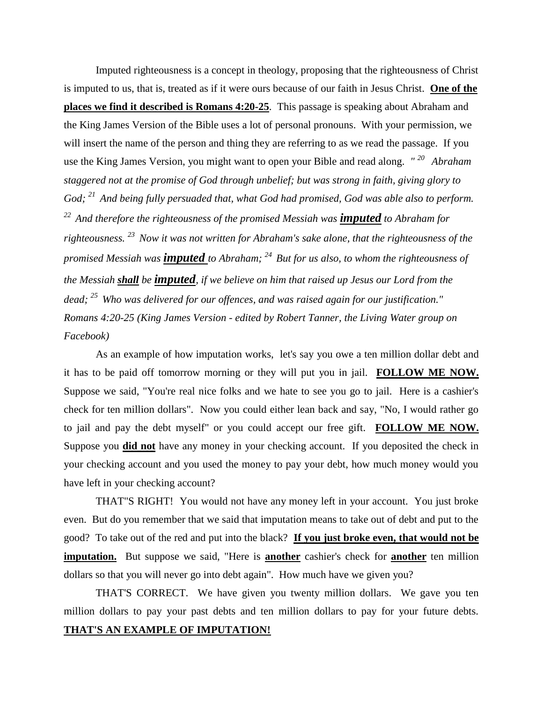Imputed righteousness is a concept in theology, proposing that the righteousness of Christ is imputed to us, that is, treated as if it were ours because of our faith in Jesus Christ. **One of the places we find it described is Romans 4:20-25**. This passage is speaking about Abraham and the King James Version of the Bible uses a lot of personal pronouns. With your permission, we will insert the name of the person and thing they are referring to as we read the passage. If you use the King James Version, you might want to open your Bible and read along. *" <sup>20</sup>Abraham staggered not at the promise of God through unbelief; but was strong in faith, giving glory to God; <sup>21</sup>And being fully persuaded that, what God had promised, God was able also to perform. <sup>22</sup>And therefore the righteousness of the promised Messiah was imputed to Abraham for righteousness. <sup>23</sup>Now it was not written for Abraham's sake alone, that the righteousness of the promised Messiah was imputed to Abraham; <sup>24</sup>But for us also, to whom the righteousness of the Messiah shall be imputed, if we believe on him that raised up Jesus our Lord from the dead; <sup>25</sup>Who was delivered for our offences, and was raised again for our justification." Romans 4:20-25 (King James Version - edited by Robert Tanner, the Living Water group on Facebook)*

As an example of how imputation works, let's say you owe a ten million dollar debt and it has to be paid off tomorrow morning or they will put you in jail. **FOLLOW ME NOW.**  Suppose we said, "You're real nice folks and we hate to see you go to jail. Here is a cashier's check for ten million dollars". Now you could either lean back and say, "No, I would rather go to jail and pay the debt myself" or you could accept our free gift. **FOLLOW ME NOW.**  Suppose you **did not** have any money in your checking account. If you deposited the check in your checking account and you used the money to pay your debt, how much money would you have left in your checking account?

THAT"S RIGHT! You would not have any money left in your account. You just broke even. But do you remember that we said that imputation means to take out of debt and put to the good? To take out of the red and put into the black? **If you just broke even, that would not be imputation.** But suppose we said, "Here is **another** cashier's check for **another** ten million dollars so that you will never go into debt again". How much have we given you?

THAT'S CORRECT. We have given you twenty million dollars. We gave you ten million dollars to pay your past debts and ten million dollars to pay for your future debts. **THAT'S AN EXAMPLE OF IMPUTATION!**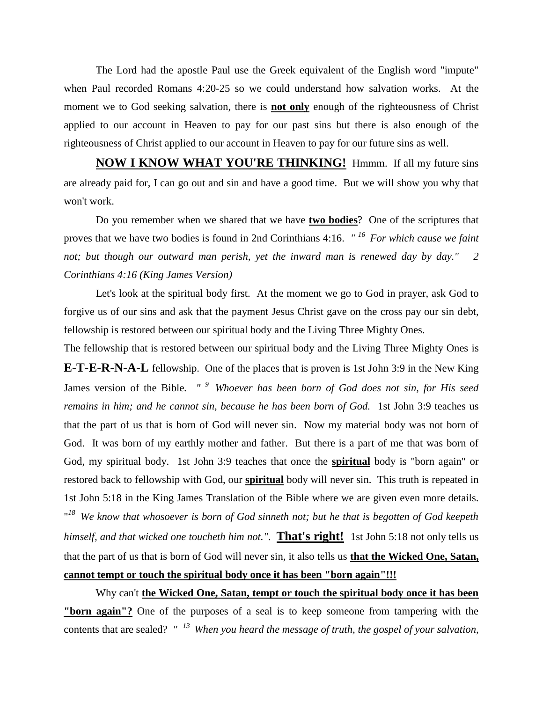The Lord had the apostle Paul use the Greek equivalent of the English word "impute" when Paul recorded Romans 4:20-25 so we could understand how salvation works. At the moment we to God seeking salvation, there is **not only** enough of the righteousness of Christ applied to our account in Heaven to pay for our past sins but there is also enough of the righteousness of Christ applied to our account in Heaven to pay for our future sins as well.

**NOW I KNOW WHAT YOU'RE THINKING!** Hmmm. If all my future sins are already paid for, I can go out and sin and have a good time. But we will show you why that won't work.

Do you remember when we shared that we have **two bodies**? One of the scriptures that proves that we have two bodies is found in 2nd Corinthians 4:16. *" <sup>16</sup>For which cause we faint not; but though our outward man perish, yet the inward man is renewed day by day." 2 Corinthians 4:16 (King James Version)*

Let's look at the spiritual body first. At the moment we go to God in prayer, ask God to forgive us of our sins and ask that the payment Jesus Christ gave on the cross pay our sin debt, fellowship is restored between our spiritual body and the Living Three Mighty Ones.

The fellowship that is restored between our spiritual body and the Living Three Mighty Ones is **E-T-E-R-N-A-L** fellowship. One of the places that is proven is 1st John 3:9 in the New King James version of the Bible*. " <sup>9</sup>Whoever has been born of God does not sin, for His seed remains in him; and he cannot sin, because he has been born of God.* 1st John 3:9 teaches us that the part of us that is born of God will never sin. Now my material body was not born of God. It was born of my earthly mother and father. But there is a part of me that was born of God, my spiritual body. 1st John 3:9 teaches that once the **spiritual** body is "born again" or restored back to fellowship with God, our **spiritual** body will never sin. This truth is repeated in 1st John 5:18 in the King James Translation of the Bible where we are given even more details. " *<sup>18</sup>We know that whosoever is born of God sinneth not; but he that is begotten of God keepeth himself, and that wicked one toucheth him not."*. **That's right!** 1st John 5:18 not only tells us that the part of us that is born of God will never sin, it also tells us **that the Wicked One, Satan, cannot tempt or touch the spiritual body once it has been "born again"!!!**

Why can't **the Wicked One, Satan, tempt or touch the spiritual body once it has been "born again"?** One of the purposes of a seal is to keep someone from tampering with the contents that are sealed? *" <sup>13</sup>When you heard the message of truth, the gospel of your salvation,*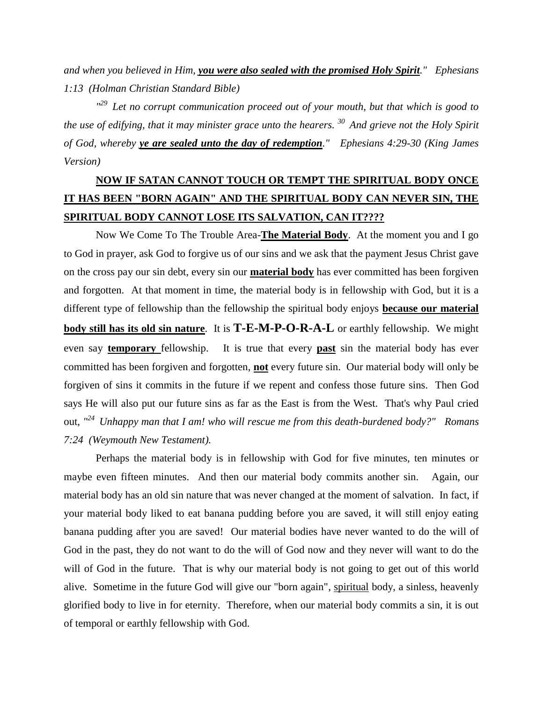*and when you believed in Him, you were also sealed with the promised Holy Spirit." Ephesians 1:13 (Holman Christian Standard Bible)*

*" <sup>29</sup>Let no corrupt communication proceed out of your mouth, but that which is good to the use of edifying, that it may minister grace unto the hearers. <sup>30</sup>And grieve not the Holy Spirit of God, whereby ye are sealed unto the day of redemption." Ephesians 4:29-30 (King James Version)* 

## **NOW IF SATAN CANNOT TOUCH OR TEMPT THE SPIRITUAL BODY ONCE IT HAS BEEN "BORN AGAIN" AND THE SPIRITUAL BODY CAN NEVER SIN, THE SPIRITUAL BODY CANNOT LOSE ITS SALVATION, CAN IT????**

Now We Come To The Trouble Area-**The Material Body**. At the moment you and I go to God in prayer, ask God to forgive us of our sins and we ask that the payment Jesus Christ gave on the cross pay our sin debt, every sin our **material body** has ever committed has been forgiven and forgotten. At that moment in time, the material body is in fellowship with God, but it is a different type of fellowship than the fellowship the spiritual body enjoys **because our material body still has its old sin nature**. It is **T-E-M-P-O-R-A-L** or earthly fellowship. We might even say **temporary** fellowship. It is true that every **past** sin the material body has ever committed has been forgiven and forgotten, **not** every future sin. Our material body will only be forgiven of sins it commits in the future if we repent and confess those future sins. Then God says He will also put our future sins as far as the East is from the West. That's why Paul cried out, *" <sup>24</sup>Unhappy man that I am! who will rescue me from this death-burdened body?" Romans 7:24 (Weymouth New Testament).*

Perhaps the material body is in fellowship with God for five minutes, ten minutes or maybe even fifteen minutes. And then our material body commits another sin. Again, our material body has an old sin nature that was never changed at the moment of salvation. In fact, if your material body liked to eat banana pudding before you are saved, it will still enjoy eating banana pudding after you are saved! Our material bodies have never wanted to do the will of God in the past, they do not want to do the will of God now and they never will want to do the will of God in the future. That is why our material body is not going to get out of this world alive. Sometime in the future God will give our "born again", spiritual body, a sinless, heavenly glorified body to live in for eternity. Therefore, when our material body commits a sin, it is out of temporal or earthly fellowship with God.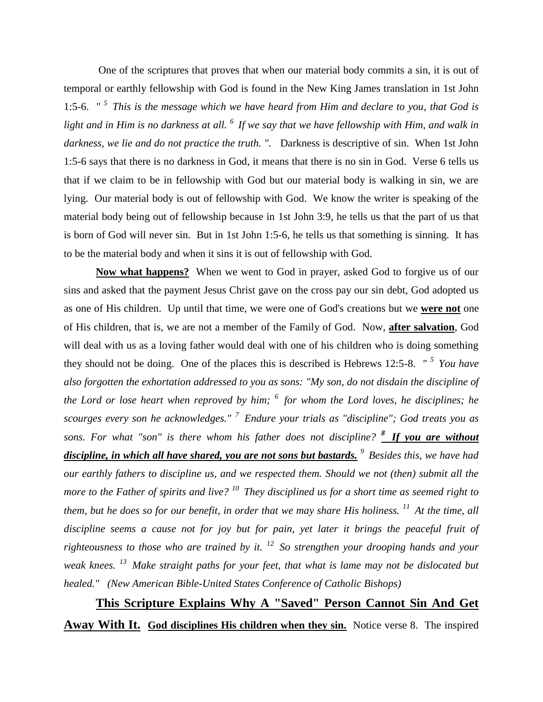One of the scriptures that proves that when our material body commits a sin, it is out of temporal or earthly fellowship with God is found in the New King James translation in 1st John 1:5-6. *" <sup>5</sup>This is the message which we have heard from Him and declare to you, that God is light and in Him is no darkness at all. <sup>6</sup>If we say that we have fellowship with Him, and walk in darkness, we lie and do not practice the truth. ".* Darkness is descriptive of sin. When 1st John 1:5-6 says that there is no darkness in God, it means that there is no sin in God. Verse 6 tells us that if we claim to be in fellowship with God but our material body is walking in sin, we are lying. Our material body is out of fellowship with God. We know the writer is speaking of the material body being out of fellowship because in 1st John 3:9, he tells us that the part of us that is born of God will never sin. But in 1st John 1:5-6, he tells us that something is sinning. It has to be the material body and when it sins it is out of fellowship with God.

**Now what happens?** When we went to God in prayer, asked God to forgive us of our sins and asked that the payment Jesus Christ gave on the cross pay our sin debt, God adopted us as one of His children. Up until that time, we were one of God's creations but we **were not** one of His children, that is, we are not a member of the Family of God. Now, **after salvation**, God will deal with us as a loving father would deal with one of his children who is doing something they should not be doing. One of the places this is described is Hebrews 12:5-8. *" <sup>5</sup>You have also forgotten the exhortation addressed to you as sons: "My son, do not disdain the discipline of the Lord or lose heart when reproved by him; <sup>6</sup>for whom the Lord loves, he disciplines; he scourges every son he acknowledges." <sup>7</sup>Endure your trials as "discipline"; God treats you as sons. For what "son" is there whom his father does not discipline? <sup>8</sup>If you are without discipline, in which all have shared, you are not sons but bastards. <sup>9</sup>Besides this, we have had our earthly fathers to discipline us, and we respected them. Should we not (then) submit all the more to the Father of spirits and live? <sup>10</sup>They disciplined us for a short time as seemed right to them, but he does so for our benefit, in order that we may share His holiness. <sup>11</sup>At the time, all discipline seems a cause not for joy but for pain, yet later it brings the peaceful fruit of righteousness to those who are trained by it. <sup>12</sup>So strengthen your drooping hands and your weak knees. <sup>13</sup>Make straight paths for your feet, that what is lame may not be dislocated but healed." (New American Bible-United States Conference of Catholic Bishops)* 

**This Scripture Explains Why A "Saved" Person Cannot Sin And Get Away With It. God disciplines His children when they sin.** Notice verse 8. The inspired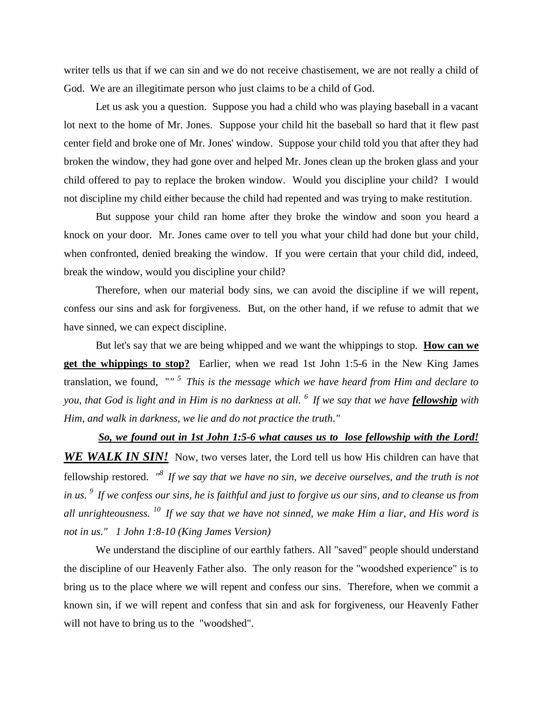writer tells us that if we can sin and we do not receive chastisement, we are not really a child of God. We are an illegitimate person who just claims to be a child of God.

Let us ask you a question. Suppose you had a child who was playing baseball in a vacant lot next to the home of Mr. Jones. Suppose your child hit the baseball so hard that it flew past center field and broke one of Mr. Jones' window. Suppose your child told you that after they had broken the window, they had gone over and helped Mr. Jones clean up the broken glass and your child offered to pay to replace the broken window. Would you discipline your child? I would not discipline my child either because the child had repented and was trying to make restitution.

But suppose your child ran home after they broke the window and soon you heard a knock on your door. Mr. Jones came over to tell you what your child had done but your child, when confronted, denied breaking the window. If you were certain that your child did, indeed, break the window, would you discipline your child?

Therefore, when our material body sins, we can avoid the discipline if we will repent, confess our sins and ask for forgiveness. But, on the other hand, if we refuse to admit that we have sinned, we can expect discipline.

But let's say that we are being whipped and we want the whippings to stop. **How can we get the whippings to stop?** Earlier, when we read 1st John 1:5-6 in the New King James translation, we found, "*" <sup>5</sup>This is the message which we have heard from Him and declare to you, that God is light and in Him is no darkness at all. <sup>6</sup>If we say that we have fellowship with Him, and walk in darkness, we lie and do not practice the truth."*

*So, we found out in 1st John 1:5-6 what causes us to lose fellowship with the Lord!*  **WE WALK IN SIN!** Now, two verses later, the Lord tell us how His children can have that fellowship restored. *" <sup>8</sup>If we say that we have no sin, we deceive ourselves, and the truth is not in us. <sup>9</sup>If we confess our sins, he is faithful and just to forgive us our sins, and to cleanse us from all unrighteousness. <sup>10</sup>If we say that we have not sinned, we make Him a liar, and His word is not in us." 1 John 1:8-10 (King James Version)*

We understand the discipline of our earthly fathers. All "saved" people should understand the discipline of our Heavenly Father also. The only reason for the "woodshed experience" is to bring us to the place where we will repent and confess our sins. Therefore, when we commit a known sin, if we will repent and confess that sin and ask for forgiveness, our Heavenly Father will not have to bring us to the "woodshed".